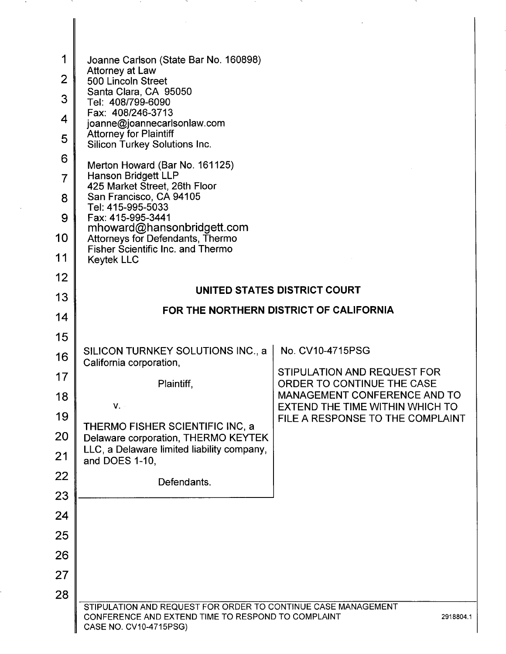| 1<br>$\overline{2}$<br>3<br>4<br>5<br>6<br>7<br>8<br>9<br>10<br>11<br>12 | Joanne Carlson (State Bar No. 160898)<br>Attorney at Law<br>500 Lincoln Street<br>Santa Clara, CA 95050<br>Tel: 408/799-6090<br>Fax: 408/246-3713<br>joanne@joannecarlsonlaw.com<br><b>Attorney for Plaintiff</b><br>Silicon Turkey Solutions Inc.<br>Merton Howard (Bar No. 161125)<br>Hanson Bridgett LLP<br>425 Market Street, 26th Floor<br>San Francisco, CA 94105<br>Tel: 415-995-5033<br>Fax: 415-995-3441<br>mhoward@hansonbridgett.com<br>Attorneys for Defendants, Thermo<br><b>Fisher Scientific Inc. and Thermo</b><br><b>Keytek LLC</b> |                                                                        |
|--------------------------------------------------------------------------|------------------------------------------------------------------------------------------------------------------------------------------------------------------------------------------------------------------------------------------------------------------------------------------------------------------------------------------------------------------------------------------------------------------------------------------------------------------------------------------------------------------------------------------------------|------------------------------------------------------------------------|
| 13                                                                       |                                                                                                                                                                                                                                                                                                                                                                                                                                                                                                                                                      | UNITED STATES DISTRICT COURT                                           |
|                                                                          |                                                                                                                                                                                                                                                                                                                                                                                                                                                                                                                                                      | FOR THE NORTHERN DISTRICT OF CALIFORNIA                                |
| 14                                                                       |                                                                                                                                                                                                                                                                                                                                                                                                                                                                                                                                                      |                                                                        |
| 15                                                                       | SILICON TURNKEY SOLUTIONS INC., a                                                                                                                                                                                                                                                                                                                                                                                                                                                                                                                    | No. CV10-4715PSG                                                       |
| 16                                                                       | California corporation,                                                                                                                                                                                                                                                                                                                                                                                                                                                                                                                              | STIPULATION AND REQUEST FOR                                            |
| 17                                                                       | Plaintiff,                                                                                                                                                                                                                                                                                                                                                                                                                                                                                                                                           | ORDER TO CONTINUE THE CASE                                             |
| 18                                                                       | $V_{\star}$                                                                                                                                                                                                                                                                                                                                                                                                                                                                                                                                          | <b>MANAGEMENT CONFERENCE AND TO</b><br>EXTEND THE TIME WITHIN WHICH TO |
| 19                                                                       | THERMO FISHER SCIENTIFIC INC, a                                                                                                                                                                                                                                                                                                                                                                                                                                                                                                                      | FILE A RESPONSE TO THE COMPLAINT                                       |
| 20                                                                       | Delaware corporation, THERMO KEYTEK<br>LLC, a Delaware limited liability company,                                                                                                                                                                                                                                                                                                                                                                                                                                                                    |                                                                        |
| 21                                                                       | and DOES 1-10,                                                                                                                                                                                                                                                                                                                                                                                                                                                                                                                                       |                                                                        |
| 22                                                                       | Defendants.                                                                                                                                                                                                                                                                                                                                                                                                                                                                                                                                          |                                                                        |
| 23                                                                       |                                                                                                                                                                                                                                                                                                                                                                                                                                                                                                                                                      |                                                                        |
| 24                                                                       |                                                                                                                                                                                                                                                                                                                                                                                                                                                                                                                                                      |                                                                        |
| 25                                                                       |                                                                                                                                                                                                                                                                                                                                                                                                                                                                                                                                                      |                                                                        |
| 26                                                                       |                                                                                                                                                                                                                                                                                                                                                                                                                                                                                                                                                      |                                                                        |
| 27                                                                       |                                                                                                                                                                                                                                                                                                                                                                                                                                                                                                                                                      |                                                                        |
| 28                                                                       |                                                                                                                                                                                                                                                                                                                                                                                                                                                                                                                                                      |                                                                        |
|                                                                          | STIPULATION AND REQUEST FOR ORDER TO CONTINUE CASE MANAGEMENT<br>CONFERENCE AND EXTEND TIME TO RESPOND TO COMPLAINT<br>CASE NO. CV10-4715PSG)                                                                                                                                                                                                                                                                                                                                                                                                        | 2918804.1                                                              |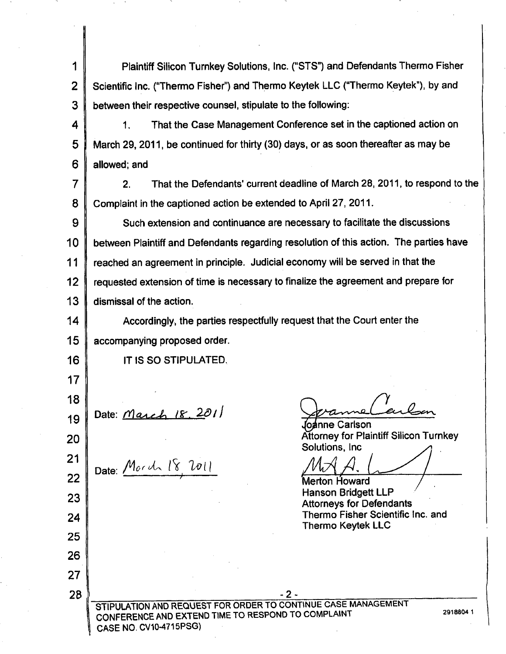I 2 3 Plaintiff Silicon Turnkey Solutions. Inc. ("STS") and Defendants Thermo Fisher Scientific Inc. ("Thermo Fisher") and Thermo Keytek LLC ("Thermo Keytek"), by and between their respective counsel, stipulate to the following:

4 5 6 1. That the Case Management Conference set in the captioned action on March 29, 2011, be continued for thirty (30) days, or as soon thereafter as may be allowed; and

7 8 2. That the Defendants' current deadline of March 28, 2011, to respond to the Complaint in the captioned action be extended to April 27, 2011.

9 10 11 12 13 Such extension and continuance are necessary to facilitate the discussions between Plaintiff and Defendants regarding resolution of this action. The parties have reached an agreement in principle. Judicial economy will be served in that the requested extension of time is necessary to finalize the agreement and prepare for dismissal of the action.

14 15 Accordingly, the parties respectfully request that the Court enter the accompanying proposed order.

IT IS SO STIPULATED.

19 Date: March 18, 2011

16

17

18

20

21

22

23

24

25

26

27

28

Date: Morch 18, 2011

'<br>as loc

oanne Carlson Attorney for Plaintiff Silicon Turnkey Solutions, Inc.

Merton Howard<br>Hanson Bridgett LLP Attorneys for Defendants Thermo Fisher Scientific Inc. and Thermo Keytek LLC

-2- STIPULATION AND REQUEST FOR ORDER TO CONTINUE CASE MANAGEMENT CONFERENCE AND EXTEND TIME TO RESPOND TO COMPLAINT 2918804 1 CASE NO. CV1O-4715PSG)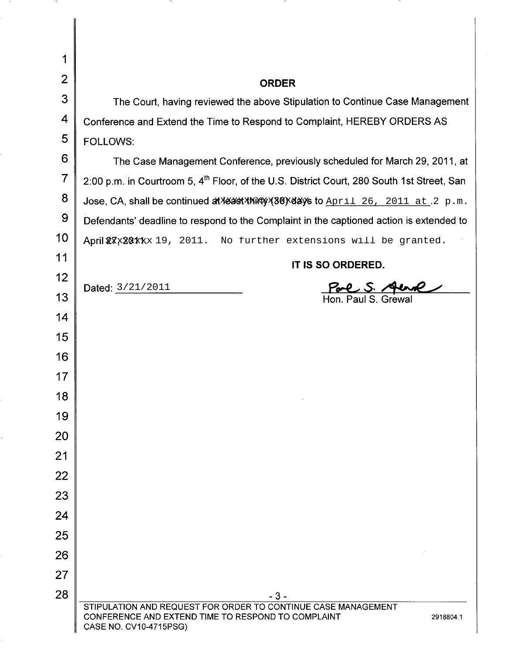| 1              |                                                                                                                                                            |  |  |
|----------------|------------------------------------------------------------------------------------------------------------------------------------------------------------|--|--|
| 2              | <b>ORDER</b>                                                                                                                                               |  |  |
| 3              | The Court, having reviewed the above Stipulation to Continue Case Management                                                                               |  |  |
| 4              | Conference and Extend the Time to Respond to Complaint, HEREBY ORDERS AS                                                                                   |  |  |
| 5              | <b>FOLLOWS:</b>                                                                                                                                            |  |  |
| 6              | The Case Management Conference, previously scheduled for March 29, 2011, at                                                                                |  |  |
| $\overline{7}$ | 2:00 p.m. in Courtroom 5, 4 <sup>th</sup> Floor, of the U.S. District Court, 280 South 1st Street, San                                                     |  |  |
| 8              | Jose, CA, shall be continued at reast thirty (30) sdays to April 26, 2011 at 2 p.m.                                                                        |  |  |
| 9              | Defendants' deadline to respond to the Complaint in the captioned action is extended to                                                                    |  |  |
| 10             | April 27x201xx 19, 2011. No further extensions will be granted.                                                                                            |  |  |
| 11             | IT IS SO ORDERED.                                                                                                                                          |  |  |
| 12             | Dated: 3/21/2011                                                                                                                                           |  |  |
| 13             | Hon. Paul S. Grewa                                                                                                                                         |  |  |
| 14             |                                                                                                                                                            |  |  |
| 15             |                                                                                                                                                            |  |  |
| 16             |                                                                                                                                                            |  |  |
| 17             |                                                                                                                                                            |  |  |
| 18             |                                                                                                                                                            |  |  |
| 19             |                                                                                                                                                            |  |  |
| 20             |                                                                                                                                                            |  |  |
| 21             |                                                                                                                                                            |  |  |
| 22             |                                                                                                                                                            |  |  |
| 23             |                                                                                                                                                            |  |  |
| 24             |                                                                                                                                                            |  |  |
| 25             |                                                                                                                                                            |  |  |
| 26             |                                                                                                                                                            |  |  |
| 27             |                                                                                                                                                            |  |  |
| 28             | - 3 -                                                                                                                                                      |  |  |
|                | STIPULATION AND REQUEST FOR ORDER TO CONTINUE CASE MANAGEMENT<br>CONFERENCE AND EXTEND TIME TO RESPOND TO COMPLAINT<br>2918804.1<br>CASE NO. CV10-4715PSG) |  |  |

 $\overline{\phantom{a}}$ 

-71

╽

-78